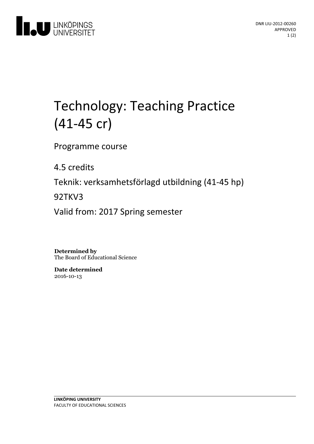

# Technology: Teaching Practice (41-45 cr)

Programme course

4.5 credits

Teknik: verksamhetsförlagd utbildning(41-45 hp)

92TKV3

Valid from: 2017 Spring semester

**Determined by** The Board of Educational Science

**Date determined** 2016-10-13